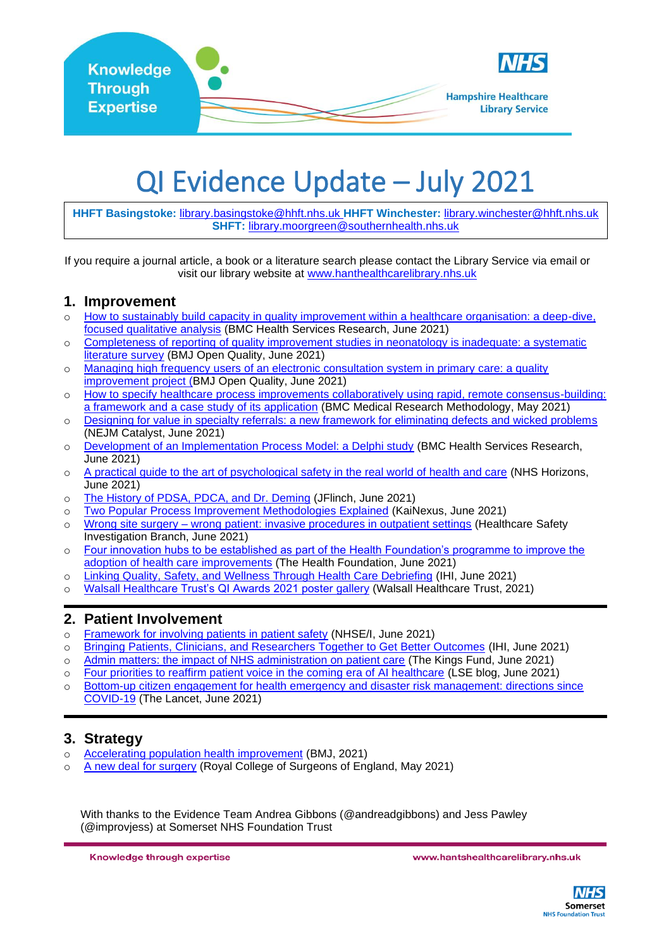

# QI Evidence Update – July 2021

**HHFT Basingstoke:** [library.basingstoke@hhft.nhs.uk](mailto:library.basingstoke@hhft.nhs.uk) **HHFT Winchester:** [library.winchester@hhft.nhs.uk](mailto:library.winchester@hhft.nhs.uk) **SHFT:** [library.moorgreen@southernhealth.nhs.uk](mailto:library.moorgreen@southernhealth.nhs.uk)

If you require a journal article, a book or a literature search please contact the Library Service via email or visit our library website at [www.hanthealthcarelibrary.nhs.uk](http://www.hanthealthcarelibrary.nhs.uk/)

#### **1. Improvement**

- o [How to sustainably build capacity in quality improvement within a healthcare organisation: a deep-dive,](https://bmchealthservres.biomedcentral.com/articles/10.1186/s12913-021-06598-8)  [focused qualitative analysis](https://bmchealthservres.biomedcentral.com/articles/10.1186/s12913-021-06598-8) (BMC Health Services Research, June 2021)
- o [Completeness of reporting of quality improvement studies in neonatology is inadequate: a systematic](https://bmjopenquality.bmj.com/content/10/2/e001273.info)  [literature survey](https://bmjopenquality.bmj.com/content/10/2/e001273.info) (BMJ Open Quality, June 2021)
- o Managing high frequency users of an electronic consultation system in primary care: a quality [improvement project \(B](https://bmjopenquality.bmj.com/content/10/2/e001310)MJ Open Quality, June 2021)
- o [How to specify healthcare process improvements collaboratively using rapid, remote consensus-building:](https://bmcmedresmethodol.biomedcentral.com/articles/10.1186/s12874-021-01288-9)  [a framework and a case study of its application](https://bmcmedresmethodol.biomedcentral.com/articles/10.1186/s12874-021-01288-9) [\(BMC Medical Research Methodology,](https://bmcmedresmethodol.biomedcentral.com/) May 2021)
- o [Designing for value in specialty referrals: a new framework for eliminating defects and wicked problems](https://catalyst.nejm.org/doi/full/10.1056/CAT.21.0062) (NEJM Catalyst, June 2021)
- o [Development of an Implementation Process Model: a Delphi study](https://bmchealthservres.biomedcentral.com/articles/10.1186/s12913-021-06501-5) (BMC Health Services Research, June 2021)
- o [A practical guide to the art of psychological safety in the real world of health and care](http://horizonsnhs.com/wp-content/uploads/2021/06/A-practical-guide-to-the-art-of-psychological-safety-in-the-real-world-of-health-and-care-.pdf) (NHS Horizons, June 2021)
- o [The History of PDSA, PDCA, and Dr. Deming](https://www.jflinch.com/the-history-of-pdsa-pdca-and-dr-deming/) (JFlinch, June 2021)
- o [Two Popular Process Improvement Methodologies Explained](https://blog.kainexus.com/continuous-improvement-software/2-popular-process-improvement-methodologies-explained) (KaiNexus, June 2021)
- o Wrong site surgery [wrong patient: invasive procedures in outpatient settings](https://www.hsib.org.uk/documents/318/HSIB_full_report_wrong_site_surgery_wrong_patient.pdf) (Healthcare Safety Investigation Branch, June 2021)
- o [Four innovation hubs to be established as part of the Health Foundation's programme to improve the](https://www.health.org.uk/news-and-comment/news/four-innovation-hubs-to-be-established-as-part-of-the-health)  [adoption of health care improvements](https://www.health.org.uk/news-and-comment/news/four-innovation-hubs-to-be-established-as-part-of-the-health) (The Health Foundation, June 2021)
- o [Linking Quality, Safety, and Wellness Through Health Care Debriefing](http://www.ihi.org/communities/blogs/linking-quality-safety-and-wellness-through-health-care-debriefing) (IHI, June 2021)
- o [Walsall Healthcare Trust's QI Awards 2021 poster](https://www.walsallhealthcare.nhs.uk/professionals/quality-improvement/quality-improvement-awards/qi-awards-2021-posters/?table_filter=) gallery (Walsall Healthcare Trust, 2021)

#### **2. Patient Involvement**

- o [Framework for involving patients in patient safety](https://www.england.nhs.uk/wp-content/uploads/2021/06/B0435-framework-for-involving-patients-in-patient-safety.pdf) (NHSE/I, June 2021)
- o [Bringing Patients, Clinicians, and Researchers Together to Get Better Outcomes](http://www.ihi.org/communities/blogs/bringing-patients-clinicians-and-researchers-together-to-get-better-outcomes) (IHI, June 2021)
- o [Admin matters: the impact of NHS administration on patient care](https://www.kingsfund.org.uk/publications/admin-matters-nhs-patient-care) (The Kings Fund, June 2021)
- o [Four priorities to reaffirm patient voice in the coming era of AI healthcare](https://blogs.lse.ac.uk/impactofsocialsciences/2021/06/18/4-priorities-to-reaffirm-patient-voice-in-the-coming-era-of-ai-healthcare/) (LSE blog, June 2021)
- o [Bottom-up citizen engagement for health emergency and disaster risk management: directions since](https://www.thelancet.com/journals/lancet/article/PIIS0140-6736(21)01233-2/fulltext)  [COVID-19](https://www.thelancet.com/journals/lancet/article/PIIS0140-6736(21)01233-2/fulltext) (The Lancet, June 2021)

#### **3. Strategy**

- o [Accelerating population health improvement](https://www.bmj.com/content/373/bmj.n966.full) (BMJ, 2021)
- o [A new deal for surgery](https://www.rcseng.ac.uk/about-the-rcs/government-relations-and-consultation/position-statements-and-reports/action-plan-for-england/) (Royal College of Surgeons of England, May 2021)

With thanks to the Evidence Team Andrea Gibbons (@andreadgibbons) and Jess Pawley (@improvjess) at Somerset NHS Foundation Trust

Knowledge through expertise